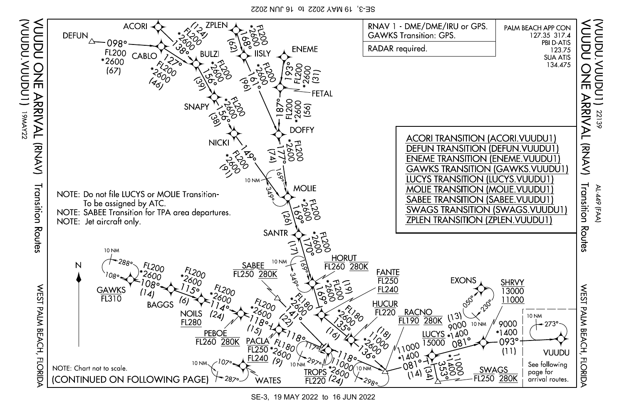SE-3, 19 MAY 2022 to 16 JUN 2022

(VUUDU.VUUDU1)

(Indony.ndon)

771<br>WWA 1

19MAY22



SE-3, 19 MAY 2022 to 16 JUN 2022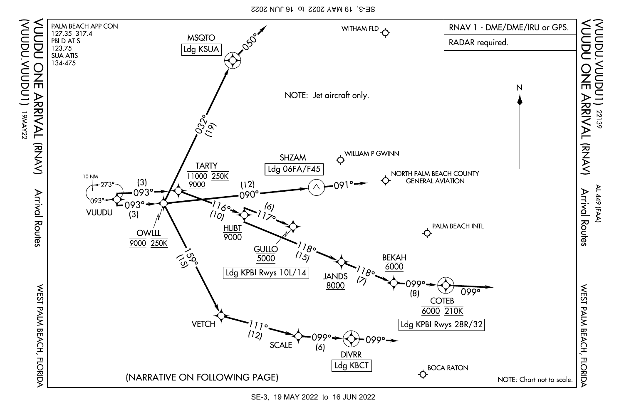SE-3, 19 MAY 2022 to 16 JUN 2022

(VUUDU.VUUDU1)

zzxwei (LNQNNX NQNN

771<br>WWA 1



SE-3, 19 MAY 2022 to 16 JUN 2022